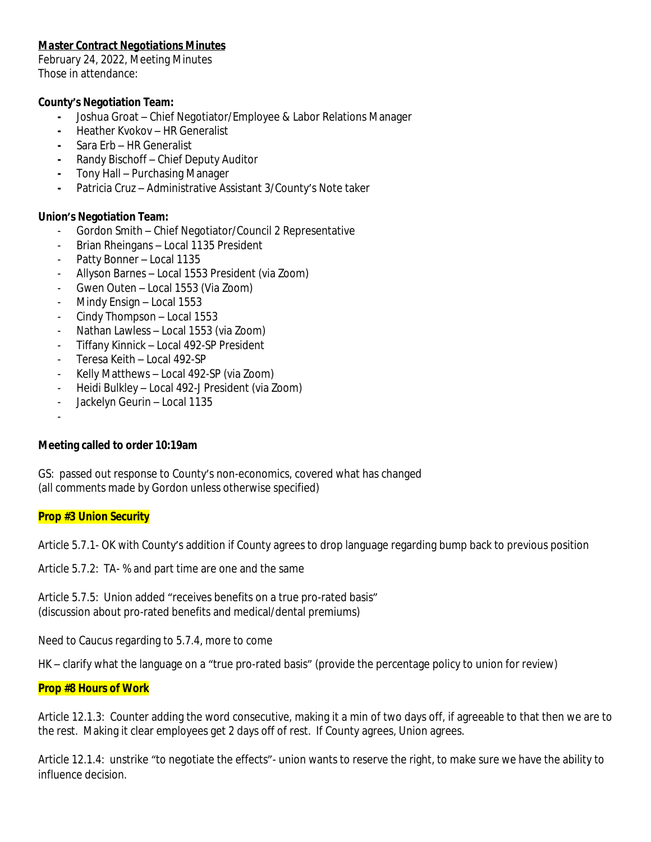# *Master Contract Negotiations Minutes*

February 24, 2022, Meeting Minutes Those in attendance:

# **County's Negotiation Team:**

- **-** Joshua Groat Chief Negotiator/Employee & Labor Relations Manager
- **-** Heather Kvokov HR Generalist
- **-** Sara Erb HR Generalist
- **-** Randy Bischoff Chief Deputy Auditor
- **-** Tony Hall Purchasing Manager
- **-** Patricia Cruz Administrative Assistant 3/County's Note taker

# **Union's Negotiation Team:**

- Gordon Smith Chief Negotiator/Council 2 Representative
- Brian Rheingans Local 1135 President
- Patty Bonner Local 1135
- Allyson Barnes Local 1553 President (via Zoom)
- Gwen Outen Local 1553 (Via Zoom)
- Mindy Ensign Local 1553
- Cindy Thompson Local 1553
- Nathan Lawless Local 1553 (via Zoom)
- Tiffany Kinnick Local 492-SP President
- Teresa Keith Local 492-SP
- Kelly Matthews Local 492-SP (via Zoom)
- Heidi Bulkley Local 492-J President (via Zoom)
- Jackelyn Geurin Local 1135
- -

### **Meeting called to order 10:19am**

GS: passed out response to County's non-economics, covered what has changed (all comments made by Gordon unless otherwise specified)

### **Prop #3 Union Security**

Article 5.7.1- OK with County's addition if County agrees to drop language regarding bump back to previous position

Article 5.7.2: TA- % and part time are one and the same

Article 5.7.5: Union added "receives benefits on a true pro-rated basis" (discussion about pro-rated benefits and medical/dental premiums)

Need to Caucus regarding to 5.7.4, more to come

HK – clarify what the language on a "true pro-rated basis" (provide the percentage policy to union for review)

### **Prop #8 Hours of Work**

Article 12.1.3: Counter adding the word consecutive, making it a min of two days off, if agreeable to that then we are to the rest. Making it clear employees get 2 days off of rest. If County agrees, Union agrees.

Article 12.1.4: unstrike "to negotiate the effects"- union wants to reserve the right, to make sure we have the ability to influence decision.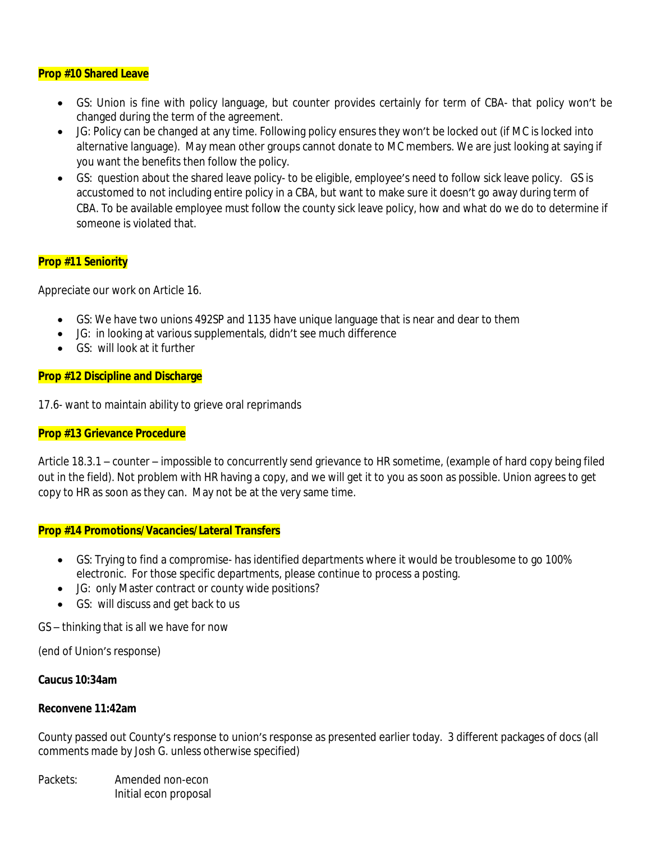#### **Prop #10 Shared Leave**

- GS: Union is fine with policy language, but counter provides certainly for term of CBA- that policy won't be changed during the term of the agreement.
- JG: Policy can be changed at any time. Following policy ensures they won't be locked out (if MC is locked into alternative language). May mean other groups cannot donate to MC members. We are just looking at saying if you want the benefits then follow the policy.
- GS: question about the shared leave policy- to be eligible, employee's need to follow sick leave policy. GS is accustomed to not including entire policy in a CBA, but want to make sure it doesn't go away during term of CBA. To be available employee must follow the county sick leave policy, how and what do we do to determine if someone is violated that.

### **Prop #11 Seniority**

Appreciate our work on Article 16.

- GS: We have two unions 492SP and 1135 have unique language that is near and dear to them
- JG: in looking at various supplementals, didn't see much difference
- GS: will look at it further

#### **Prop #12 Discipline and Discharge**

17.6- want to maintain ability to grieve oral reprimands

#### **Prop #13 Grievance Procedure**

Article 18.3.1 – counter – impossible to concurrently send grievance to HR sometime, (example of hard copy being filed out in the field). Not problem with HR having a copy, and we will get it to you as soon as possible. Union agrees to get copy to HR as soon as they can. May not be at the very same time.

#### **Prop #14 Promotions/Vacancies/Lateral Transfers**

- GS: Trying to find a compromise- has identified departments where it would be troublesome to go 100% electronic. For those specific departments, please continue to process a posting.
- JG: only Master contract or county wide positions?
- GS: will discuss and get back to us

GS – thinking that is all we have for now

(end of Union's response)

#### **Caucus 10:34am**

#### **Reconvene 11:42am**

County passed out County's response to union's response as presented earlier today. 3 different packages of docs (all comments made by Josh G. unless otherwise specified)

Packets: Amended non-econ Initial econ proposal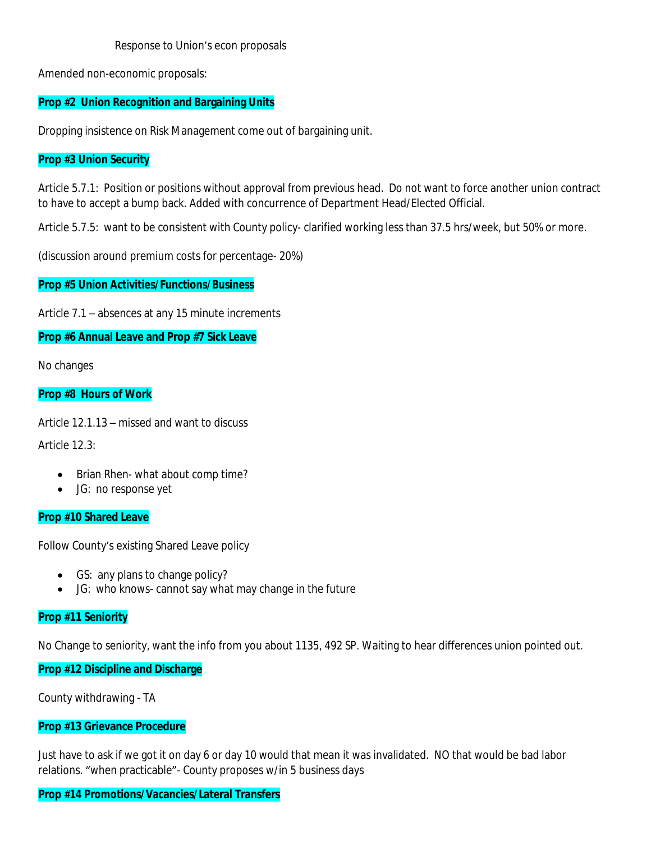Response to Union's econ proposals

Amended non-economic proposals:

# **Prop #2 Union Recognition and Bargaining Units**

Dropping insistence on Risk Management come out of bargaining unit.

## **Prop #3 Union Security**

Article 5.7.1: Position or positions without approval from previous head. Do not want to force another union contract to have to accept a bump back. Added with concurrence of Department Head/Elected Official.

Article 5.7.5: want to be consistent with County policy- clarified working less than 37.5 hrs/week, but 50% or more.

(discussion around premium costs for percentage- 20%)

### **Prop #5 Union Activities/Functions/Business**

Article 7.1 – absences at any 15 minute increments

### **Prop #6 Annual Leave and Prop #7 Sick Leave**

No changes

### **Prop #8 Hours of Work**

Article 12.1.13 – missed and want to discuss

Article 12.3:

- Brian Rhen- what about comp time?
- JG: no response yet

### **Prop #10 Shared Leave**

Follow County's existing Shared Leave policy

- GS: any plans to change policy?
- JG: who knows- cannot say what may change in the future

### **Prop #11 Seniority**

No Change to seniority, want the info from you about 1135, 492 SP. Waiting to hear differences union pointed out.

### **Prop #12 Discipline and Discharge**

County withdrawing - TA

### **Prop #13 Grievance Procedure**

Just have to ask if we got it on day 6 or day 10 would that mean it was invalidated. NO that would be bad labor relations. "when practicable"- County proposes w/in 5 business days

# **Prop #14 Promotions/Vacancies/Lateral Transfers**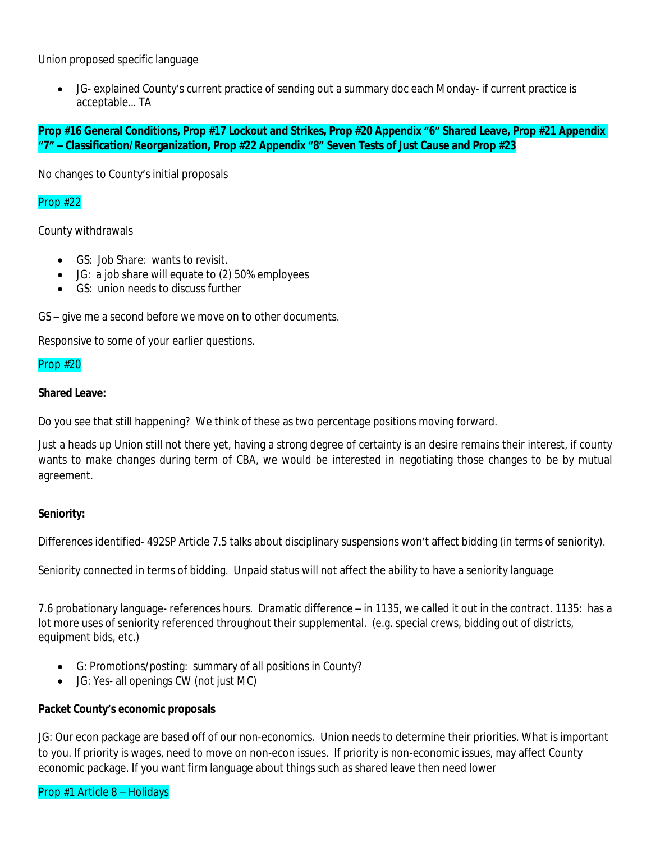Union proposed specific language

 JG- explained County's current practice of sending out a summary doc each Monday- if current practice is acceptable… TA

**Prop #16 General Conditions, Prop #17 Lockout and Strikes, Prop #20 Appendix "6" Shared Leave, Prop #21 Appendix "7" – Classification/Reorganization, Prop #22 Appendix "8" Seven Tests of Just Cause and Prop #23**

No changes to County's initial proposals

# Prop #22

County withdrawals

- GS: Job Share: wants to revisit.
- JG: a job share will equate to (2) 50% employees
- **GS:** union needs to discuss further

GS – give me a second before we move on to other documents.

Responsive to some of your earlier questions.

#### Prop #20

#### **Shared Leave:**

Do you see that still happening? We think of these as two percentage positions moving forward.

Just a heads up Union still not there yet, having a strong degree of certainty is an desire remains their interest, if county wants to make changes during term of CBA, we would be interested in negotiating those changes to be by mutual agreement.

### **Seniority:**

Differences identified- 492SP Article 7.5 talks about disciplinary suspensions won't affect bidding (in terms of seniority).

Seniority connected in terms of bidding. Unpaid status will not affect the ability to have a seniority language

7.6 probationary language- references hours. Dramatic difference – in 1135, we called it out in the contract. 1135: has a lot more uses of seniority referenced throughout their supplemental. (e.g. special crews, bidding out of districts, equipment bids, etc.)

- G: Promotions/posting: summary of all positions in County?
- JG: Yes- all openings CW (not just MC)

### **Packet County's economic proposals**

JG: Our econ package are based off of our non-economics. Union needs to determine their priorities. What is important to you. If priority is wages, need to move on non-econ issues. If priority is non-economic issues, may affect County economic package. If you want firm language about things such as shared leave then need lower

### Prop #1 Article 8 – Holidays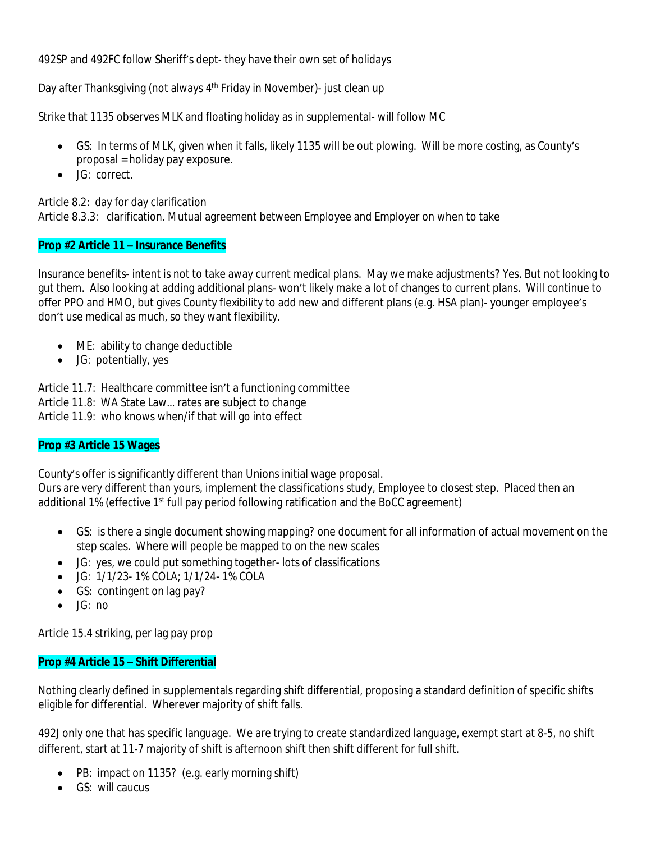492SP and 492FC follow Sheriff's dept- they have their own set of holidays

Day after Thanksgiving (not always 4<sup>th</sup> Friday in November)- just clean up

Strike that 1135 observes MLK and floating holiday as in supplemental- will follow MC

- GS: In terms of MLK, given when it falls, likely 1135 will be out plowing. Will be more costing, as County's proposal = holiday pay exposure.
- $\bullet$  JG: correct.

Article 8.2: day for day clarification Article 8.3.3: clarification. Mutual agreement between Employee and Employer on when to take

# **Prop #2 Article 11 – Insurance Benefits**

Insurance benefits- intent is not to take away current medical plans. May we make adjustments? Yes. But not looking to gut them. Also looking at adding additional plans- won't likely make a lot of changes to current plans. Will continue to offer PPO and HMO, but gives County flexibility to add new and different plans (e.g. HSA plan)- younger employee's don't use medical as much, so they want flexibility.

- ME: ability to change deductible
- JG: potentially, yes

Article 11.7: Healthcare committee isn't a functioning committee

Article 11.8: WA State Law… rates are subject to change

Article 11.9: who knows when/if that will go into effect

### **Prop #3 Article 15 Wages**

County's offer is significantly different than Unions initial wage proposal. Ours are very different than yours, implement the classifications study, Employee to closest step. Placed then an additional 1% (effective 1st full pay period following ratification and the BoCC agreement)

- GS: is there a single document showing mapping? one document for all information of actual movement on the step scales. Where will people be mapped to on the new scales
- JG: yes, we could put something together- lots of classifications
- JG: 1/1/23- 1% COLA; 1/1/24- 1% COLA
- GS: contingent on lag pay?
- $\bullet$   $\Box$   $\Box$  no

Article 15.4 striking, per lag pay prop

### **Prop #4 Article 15 – Shift Differential**

Nothing clearly defined in supplementals regarding shift differential, proposing a standard definition of specific shifts eligible for differential. Wherever majority of shift falls.

492J only one that has specific language. We are trying to create standardized language, exempt start at 8-5, no shift different, start at 11-7 majority of shift is afternoon shift then shift different for full shift.

- PB: impact on 1135? (e.g. early morning shift)
- GS: will caucus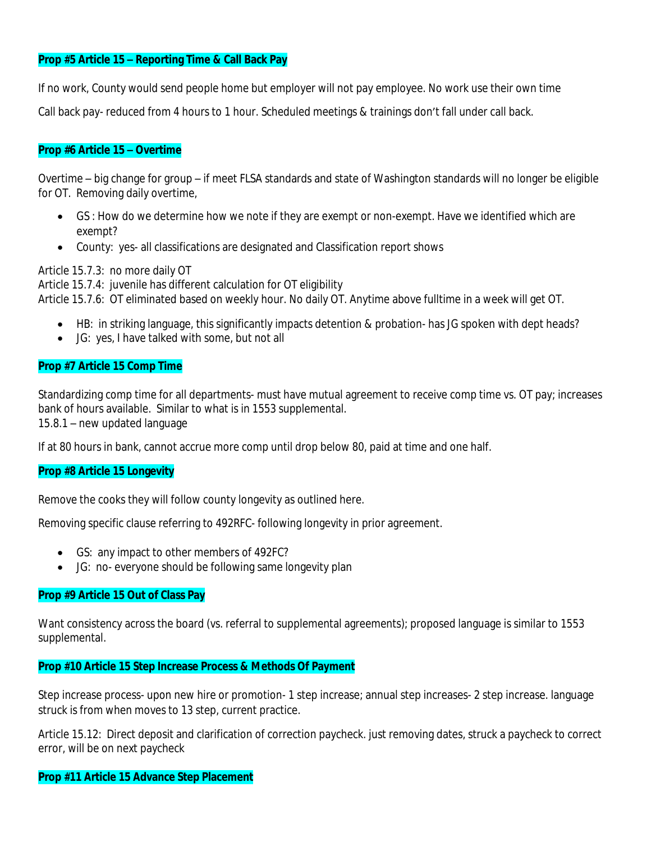## **Prop #5 Article 15 – Reporting Time & Call Back Pay**

If no work, County would send people home but employer will not pay employee. No work use their own time

Call back pay- reduced from 4 hours to 1 hour. Scheduled meetings & trainings don't fall under call back.

### **Prop #6 Article 15 – Overtime**

Overtime – big change for group – if meet FLSA standards and state of Washington standards will no longer be eligible for OT. Removing daily overtime,

- GS : How do we determine how we note if they are exempt or non-exempt. Have we identified which are exempt?
- County: yes- all classifications are designated and Classification report shows

Article 15.7.3: no more daily OT

Article 15.7.4: juvenile has different calculation for OT eligibility Article 15.7.6: OT eliminated based on weekly hour. No daily OT. Anytime above fulltime in a week will get OT.

- HB: in striking language, this significantly impacts detention & probation- has JG spoken with dept heads?
- JG: yes, I have talked with some, but not all

### **Prop #7 Article 15 Comp Time**

Standardizing comp time for all departments- must have mutual agreement to receive comp time vs. OT pay; increases bank of hours available. Similar to what is in 1553 supplemental. 15.8.1 – new updated language

If at 80 hours in bank, cannot accrue more comp until drop below 80, paid at time and one half.

### **Prop #8 Article 15 Longevity**

Remove the cooks they will follow county longevity as outlined here.

Removing specific clause referring to 492RFC- following longevity in prior agreement.

- GS: any impact to other members of 492FC?
- JG: no- everyone should be following same longevity plan

### **Prop #9 Article 15 Out of Class Pay**

Want consistency across the board (vs. referral to supplemental agreements); proposed language is similar to 1553 supplemental.

### **Prop #10 Article 15 Step Increase Process & Methods Of Payment**

Step increase process- upon new hire or promotion- 1 step increase; annual step increases- 2 step increase. language struck is from when moves to 13 step, current practice.

Article 15.12: Direct deposit and clarification of correction paycheck. just removing dates, struck a paycheck to correct error, will be on next paycheck

### **Prop #11 Article 15 Advance Step Placement**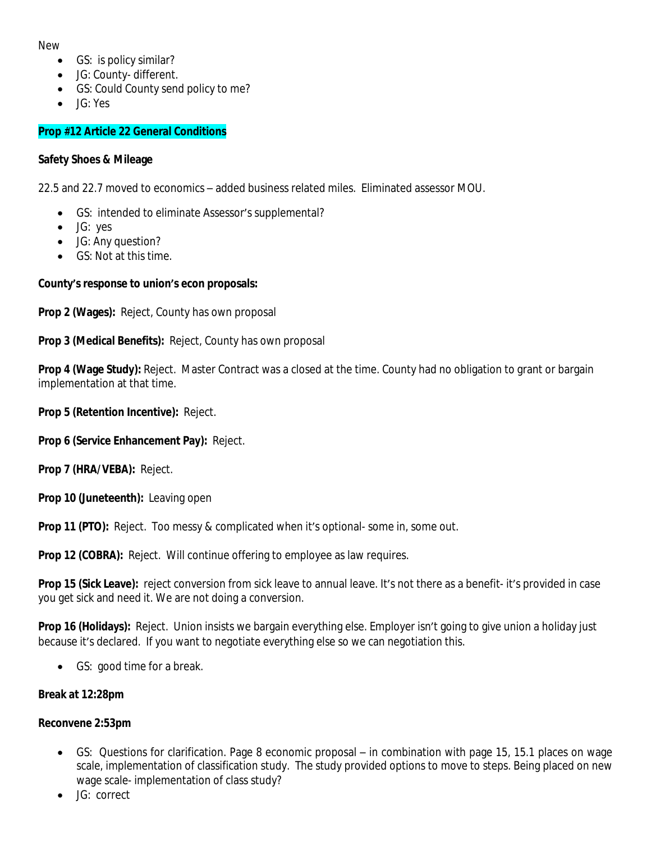New

- GS: is policy similar?
- JG: County- different.
- GS: Could County send policy to me?
- JG: Yes

# **Prop #12 Article 22 General Conditions**

### **Safety Shoes & Mileage**

22.5 and 22.7 moved to economics – added business related miles. Eliminated assessor MOU.

- GS: intended to eliminate Assessor's supplemental?
- JG: yes
- JG: Any question?
- GS: Not at this time.

# **County's response to union's econ proposals:**

**Prop 2 (Wages):** Reject, County has own proposal

# **Prop 3 (Medical Benefits):** Reject, County has own proposal

**Prop 4 (Wage Study):** Reject. Master Contract was a closed at the time. County had no obligation to grant or bargain implementation at that time.

**Prop 5 (Retention Incentive):** Reject.

**Prop 6 (Service Enhancement Pay):** Reject.

**Prop 7 (HRA/VEBA):** Reject.

**Prop 10 (Juneteenth):** Leaving open

**Prop 11 (PTO):** Reject. Too messy & complicated when it's optional- some in, some out.

**Prop 12 (COBRA):** Reject. Will continue offering to employee as law requires.

**Prop 15 (Sick Leave):** reject conversion from sick leave to annual leave. It's not there as a benefit- it's provided in case you get sick and need it. We are not doing a conversion.

Prop 16 (Holidays): Reject. Union insists we bargain everything else. Employer isn't going to give union a holiday just because it's declared. If you want to negotiate everything else so we can negotiation this.

GS: good time for a break.

### **Break at 12:28pm**

### **Reconvene 2:53pm**

- GS: Questions for clarification. Page 8 economic proposal in combination with page 15, 15.1 places on wage scale, implementation of classification study. The study provided options to move to steps. Being placed on new wage scale- implementation of class study?
- JG: correct